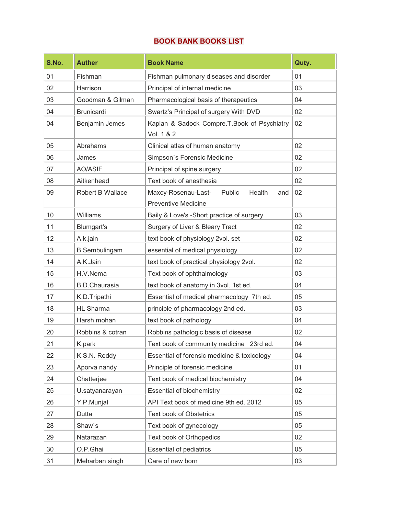## BOOK BANK BOOKS LIST

| S.No. | <b>Auther</b>        | <b>Book Name</b>                                                             | Quty. |
|-------|----------------------|------------------------------------------------------------------------------|-------|
| 01    | Fishman              | Fishman pulmonary diseases and disorder                                      | 01    |
| 02    | Harrison             | Principal of internal medicine                                               | 03    |
| 03    | Goodman & Gilman     | Pharmacological basis of therapeutics                                        | 04    |
| 04    | <b>Brunicardi</b>    | Swartz's Principal of surgery With DVD                                       | 02    |
| 04    | Benjamin Jemes       | Kaplan & Sadock Compre.T.Book of Psychiatry<br>Vol. 1 & 2                    | 02    |
| 05    | Abrahams             | Clinical atlas of human anatomy                                              | 02    |
| 06    | James                | Simpson's Forensic Medicine                                                  | 02    |
| 07    | AO/ASIF              | Principal of spine surgery                                                   | 02    |
| 08    | Aitkenhead           | Text book of anesthesia                                                      | 02    |
| 09    | Robert B Wallace     | Maxcy-Rosenau-Last-<br>Public<br>Health<br>and<br><b>Preventive Medicine</b> | 02    |
| 10    | Williams             | Baily & Love's -Short practice of surgery                                    | 03    |
| 11    | Blumgart's           | Surgery of Liver & Bleary Tract                                              | 02    |
| 12    | A.k.jain             | text book of physiology 2vol. set                                            | 02    |
| 13    | <b>B.Sembulingam</b> | essential of medical physiology                                              | 02    |
| 14    | A.K.Jain             | text book of practical physiology 2vol.                                      | 02    |
| 15    | H.V.Nema             | Text book of ophthalmology                                                   | 03    |
| 16    | <b>B.D.Chaurasia</b> | text book of anatomy in 3vol. 1st ed.                                        | 04    |
| 17    | K.D.Tripathi         | Essential of medical pharmacology 7th ed.                                    | 05    |
| 18    | <b>HL Sharma</b>     | principle of pharmacology 2nd ed.                                            | 03    |
| 19    | Harsh mohan          | text book of pathology                                                       | 04    |
| 20    | Robbins & cotran     | Robbins pathologic basis of disease                                          | 02    |
| 21    | K.park               | Text book of community medicine 23rd ed.                                     | 04    |
| 22    | K.S.N. Reddy         | Essential of forensic medicine & toxicology                                  | 04    |
| 23    | Aporva nandy         | Principle of forensic medicine                                               | 01    |
| 24    | Chatterjee           | Text book of medical biochemistry                                            | 04    |
| 25    | U.satyanarayan       | <b>Essential of biochemistry</b>                                             | 02    |
| 26    | Y.P.Munjal           | API Text book of medicine 9th ed. 2012                                       | 05    |
| 27    | Dutta                | <b>Text book of Obstetrics</b>                                               | 05    |
| 28    | Shaw's               | Text book of gynecology                                                      | 05    |
| 29    | Natarazan            | Text book of Orthopedics                                                     | 02    |
| 30    | O.P.Ghai             | <b>Essential of pediatrics</b>                                               | 05    |
| 31    | Meharban singh       | Care of new born                                                             | 03    |